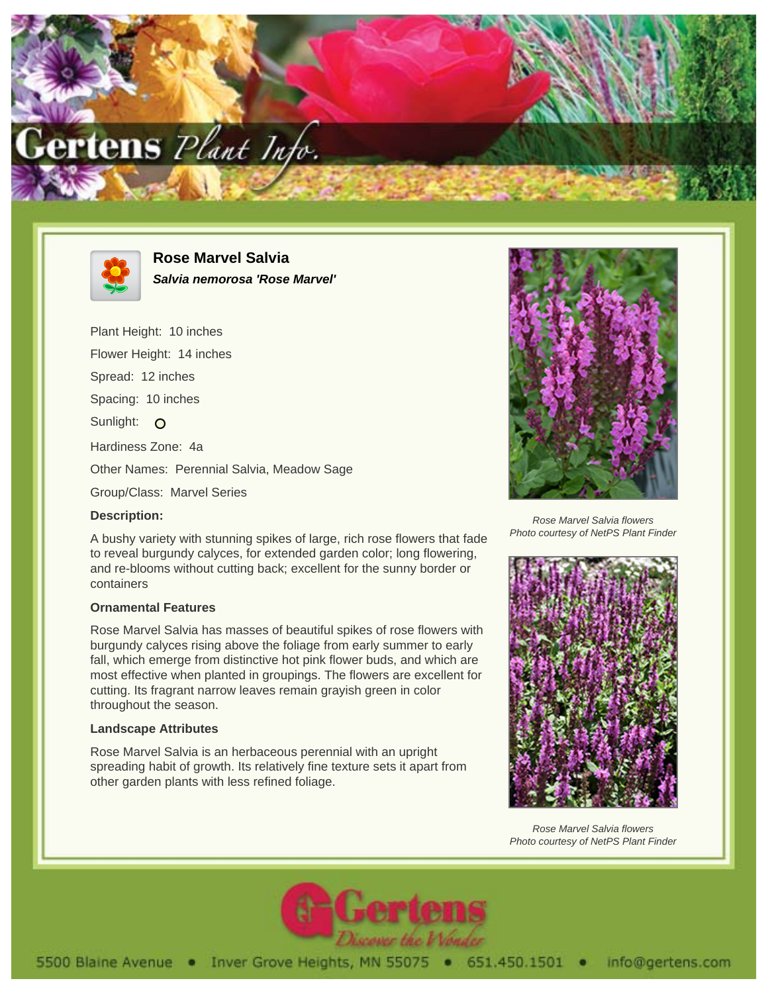



**Rose Marvel Salvia Salvia nemorosa 'Rose Marvel'**

Plant Height: 10 inches Flower Height: 14 inches Spread: 12 inches Spacing: 10 inches Sunlight: O Hardiness Zone: 4a Other Names: Perennial Salvia, Meadow Sage Group/Class: Marvel Series

## **Description:**

A bushy variety with stunning spikes of large, rich rose flowers that fade to reveal burgundy calyces, for extended garden color; long flowering, and re-blooms without cutting back; excellent for the sunny border or containers

## **Ornamental Features**

Rose Marvel Salvia has masses of beautiful spikes of rose flowers with burgundy calyces rising above the foliage from early summer to early fall, which emerge from distinctive hot pink flower buds, and which are most effective when planted in groupings. The flowers are excellent for cutting. Its fragrant narrow leaves remain grayish green in color throughout the season.

## **Landscape Attributes**

Rose Marvel Salvia is an herbaceous perennial with an upright spreading habit of growth. Its relatively fine texture sets it apart from other garden plants with less refined foliage.



Rose Marvel Salvia flowers Photo courtesy of NetPS Plant Finder



Rose Marvel Salvia flowers Photo courtesy of NetPS Plant Finder